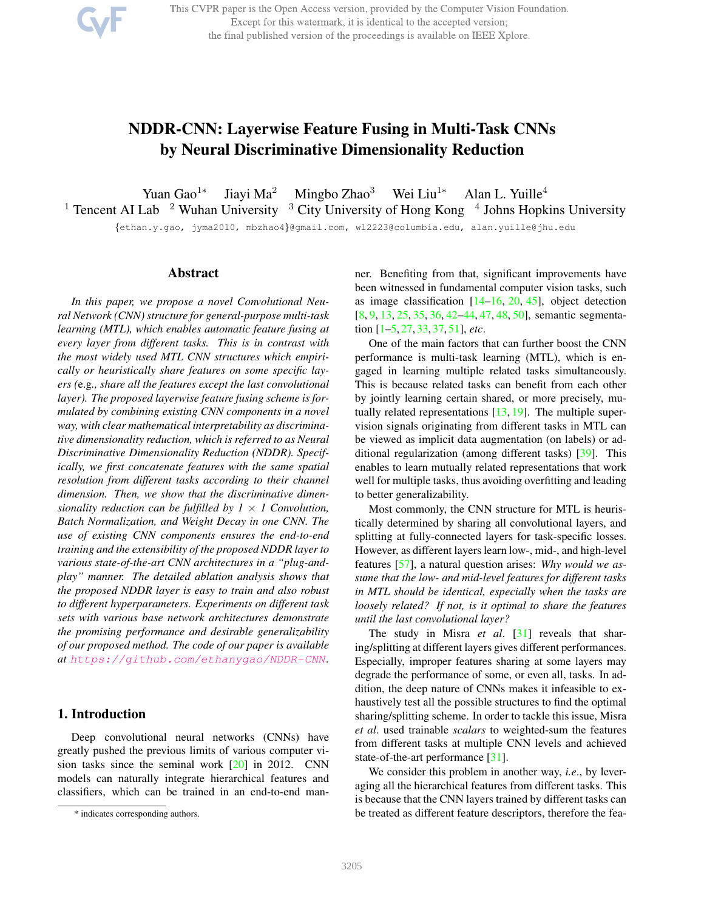This CVPR paper is the Open Access version, provided by the Computer Vision Foundation. Except for this watermark, it is identical to the accepted version; the final published version of the proceedings is available on IEEE Xplore.

# NDDR-CNN: Layerwise Feature Fusing in Multi-Task CNNs by Neural Discriminative Dimensionality Reduction

Yuan Gao<sup>1</sup>\* Jiayi Ma<sup>2</sup> Mingbo Zhao<sup>3</sup> Wei Liu<sup>1∗</sup> Alan L. Yuille<sup>4</sup> <sup>1</sup> Tencent AI Lab <sup>2</sup> Wuhan University <sup>3</sup> City University of Hong Kong <sup>4</sup> Johns Hopkins University

{ethan.y.gao, jyma2010, mbzhao4}@gmail.com, wl2223@columbia.edu, alan.yuille@jhu.edu

#### Abstract

*In this paper, we propose a novel Convolutional Neural Network (CNN) structure for general-purpose multi-task learning (MTL), which enables automatic feature fusing at every layer from different tasks. This is in contrast with the most widely used MTL CNN structures which empirically or heuristically share features on some specific layers (*e.g*., share all the features except the last convolutional layer). The proposed layerwise feature fusing scheme is formulated by combining existing CNN components in a novel way, with clear mathematical interpretability as discriminative dimensionality reduction, which is referred to as Neural Discriminative Dimensionality Reduction (NDDR). Specifically, we first concatenate features with the same spatial resolution from different tasks according to their channel dimension. Then, we show that the discriminative dimensionality reduction can be fulfilled by*  $1 \times 1$  *Convolution, Batch Normalization, and Weight Decay in one CNN. The use of existing CNN components ensures the end-to-end training and the extensibility of the proposed NDDR layer to various state-of-the-art CNN architectures in a "plug-andplay" manner. The detailed ablation analysis shows that the proposed NDDR layer is easy to train and also robust to different hyperparameters. Experiments on different task sets with various base network architectures demonstrate the promising performance and desirable generalizability of our proposed method. The code of our paper is available at https://github.com/ethanygao/NDDR-CNN.*

# 1. Introduction

Deep convolutional neural networks (CNNs) have greatly pushed the previous limits of various computer vision tasks since the seminal work [20] in 2012. CNN models can naturally integrate hierarchical features and classifiers, which can be trained in an end-to-end manner. Benefiting from that, significant improvements have been witnessed in fundamental computer vision tasks, such as image classification  $[14–16, 20, 45]$ , object detection [8, 9, 13, 25, 35, 36, 42–44, 47, 48, 50], semantic segmentation [1–5, 27, 33, 37, 51], *etc*.

One of the main factors that can further boost the CNN performance is multi-task learning (MTL), which is engaged in learning multiple related tasks simultaneously. This is because related tasks can benefit from each other by jointly learning certain shared, or more precisely, mutually related representations [13, 19]. The multiple supervision signals originating from different tasks in MTL can be viewed as implicit data augmentation (on labels) or additional regularization (among different tasks) [39]. This enables to learn mutually related representations that work well for multiple tasks, thus avoiding overfitting and leading to better generalizability.

Most commonly, the CNN structure for MTL is heuristically determined by sharing all convolutional layers, and splitting at fully-connected layers for task-specific losses. However, as different layers learn low-, mid-, and high-level features [57], a natural question arises: *Why would we assume that the low- and mid-level features for different tasks in MTL should be identical, especially when the tasks are loosely related? If not, is it optimal to share the features until the last convolutional layer?*

The study in Misra *et al*. [31] reveals that sharing/splitting at different layers gives different performances. Especially, improper features sharing at some layers may degrade the performance of some, or even all, tasks. In addition, the deep nature of CNNs makes it infeasible to exhaustively test all the possible structures to find the optimal sharing/splitting scheme. In order to tackle this issue, Misra *et al*. used trainable *scalars* to weighted-sum the features from different tasks at multiple CNN levels and achieved state-of-the-art performance [31].

We consider this problem in another way, *i.e*., by leveraging all the hierarchical features from different tasks. This is because that the CNN layers trained by different tasks can be treated as different feature descriptors, therefore the fea-

<sup>\*</sup> indicates corresponding authors.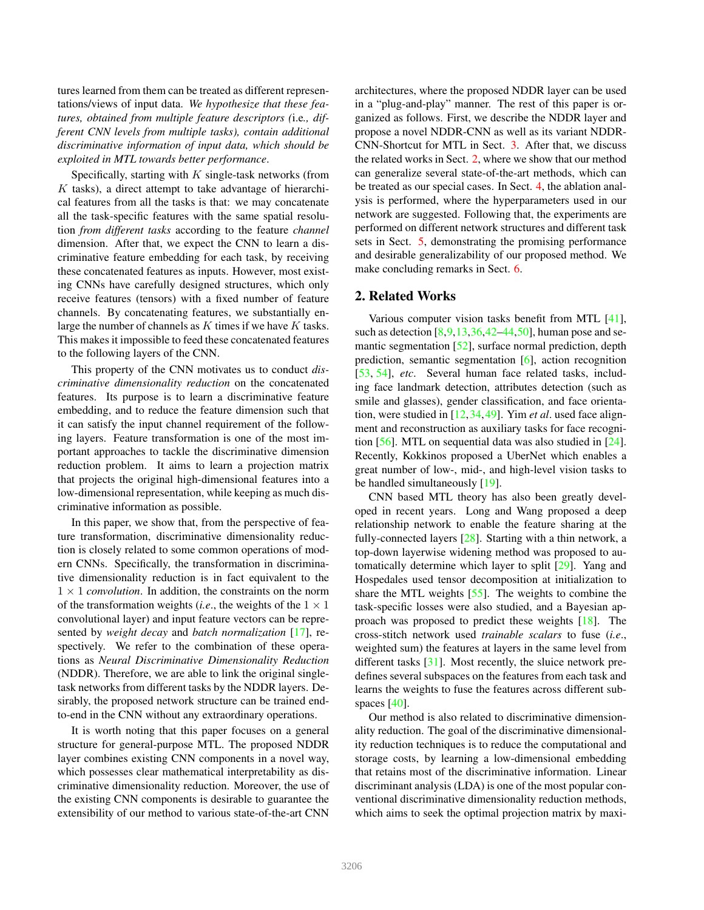tures learned from them can be treated as different representations/views of input data. *We hypothesize that these features, obtained from multiple feature descriptors (*i.e*., different CNN levels from multiple tasks), contain additional discriminative information of input data, which should be exploited in MTL towards better performance*.

Specifically, starting with  $K$  single-task networks (from  $K$  tasks), a direct attempt to take advantage of hierarchical features from all the tasks is that: we may concatenate all the task-specific features with the same spatial resolution *from different tasks* according to the feature *channel* dimension. After that, we expect the CNN to learn a discriminative feature embedding for each task, by receiving these concatenated features as inputs. However, most existing CNNs have carefully designed structures, which only receive features (tensors) with a fixed number of feature channels. By concatenating features, we substantially enlarge the number of channels as  $K$  times if we have  $K$  tasks. This makes it impossible to feed these concatenated features to the following layers of the CNN.

This property of the CNN motivates us to conduct *discriminative dimensionality reduction* on the concatenated features. Its purpose is to learn a discriminative feature embedding, and to reduce the feature dimension such that it can satisfy the input channel requirement of the following layers. Feature transformation is one of the most important approaches to tackle the discriminative dimension reduction problem. It aims to learn a projection matrix that projects the original high-dimensional features into a low-dimensional representation, while keeping as much discriminative information as possible.

In this paper, we show that, from the perspective of feature transformation, discriminative dimensionality reduction is closely related to some common operations of modern CNNs. Specifically, the transformation in discriminative dimensionality reduction is in fact equivalent to the  $1 \times 1$  *convolution*. In addition, the constraints on the norm of the transformation weights (*i.e.*, the weights of the  $1 \times 1$ convolutional layer) and input feature vectors can be represented by *weight decay* and *batch normalization* [17], respectively. We refer to the combination of these operations as *Neural Discriminative Dimensionality Reduction* (NDDR). Therefore, we are able to link the original singletask networks from different tasks by the NDDR layers. Desirably, the proposed network structure can be trained endto-end in the CNN without any extraordinary operations.

It is worth noting that this paper focuses on a general structure for general-purpose MTL. The proposed NDDR layer combines existing CNN components in a novel way, which possesses clear mathematical interpretability as discriminative dimensionality reduction. Moreover, the use of the existing CNN components is desirable to guarantee the extensibility of our method to various state-of-the-art CNN

architectures, where the proposed NDDR layer can be used in a "plug-and-play" manner. The rest of this paper is organized as follows. First, we describe the NDDR layer and propose a novel NDDR-CNN as well as its variant NDDR-CNN-Shortcut for MTL in Sect. 3. After that, we discuss the related works in Sect. 2, where we show that our method can generalize several state-of-the-art methods, which can be treated as our special cases. In Sect. 4, the ablation analysis is performed, where the hyperparameters used in our network are suggested. Following that, the experiments are performed on different network structures and different task sets in Sect. 5, demonstrating the promising performance and desirable generalizability of our proposed method. We make concluding remarks in Sect. 6.

# 2. Related Works

Various computer vision tasks benefit from MTL [41], such as detection  $[8,9,13,36,42-44,50]$ , human pose and semantic segmentation [52], surface normal prediction, depth prediction, semantic segmentation [6], action recognition [53, 54], *etc*. Several human face related tasks, including face landmark detection, attributes detection (such as smile and glasses), gender classification, and face orientation, were studied in [12,34,49]. Yim *et al*. used face alignment and reconstruction as auxiliary tasks for face recognition [56]. MTL on sequential data was also studied in [24]. Recently, Kokkinos proposed a UberNet which enables a great number of low-, mid-, and high-level vision tasks to be handled simultaneously [19].

CNN based MTL theory has also been greatly developed in recent years. Long and Wang proposed a deep relationship network to enable the feature sharing at the fully-connected layers [28]. Starting with a thin network, a top-down layerwise widening method was proposed to automatically determine which layer to split [29]. Yang and Hospedales used tensor decomposition at initialization to share the MTL weights [55]. The weights to combine the task-specific losses were also studied, and a Bayesian approach was proposed to predict these weights [18]. The cross-stitch network used *trainable scalars* to fuse (*i.e*., weighted sum) the features at layers in the same level from different tasks [31]. Most recently, the sluice network predefines several subspaces on the features from each task and learns the weights to fuse the features across different subspaces [40].

Our method is also related to discriminative dimensionality reduction. The goal of the discriminative dimensionality reduction techniques is to reduce the computational and storage costs, by learning a low-dimensional embedding that retains most of the discriminative information. Linear discriminant analysis (LDA) is one of the most popular conventional discriminative dimensionality reduction methods, which aims to seek the optimal projection matrix by maxi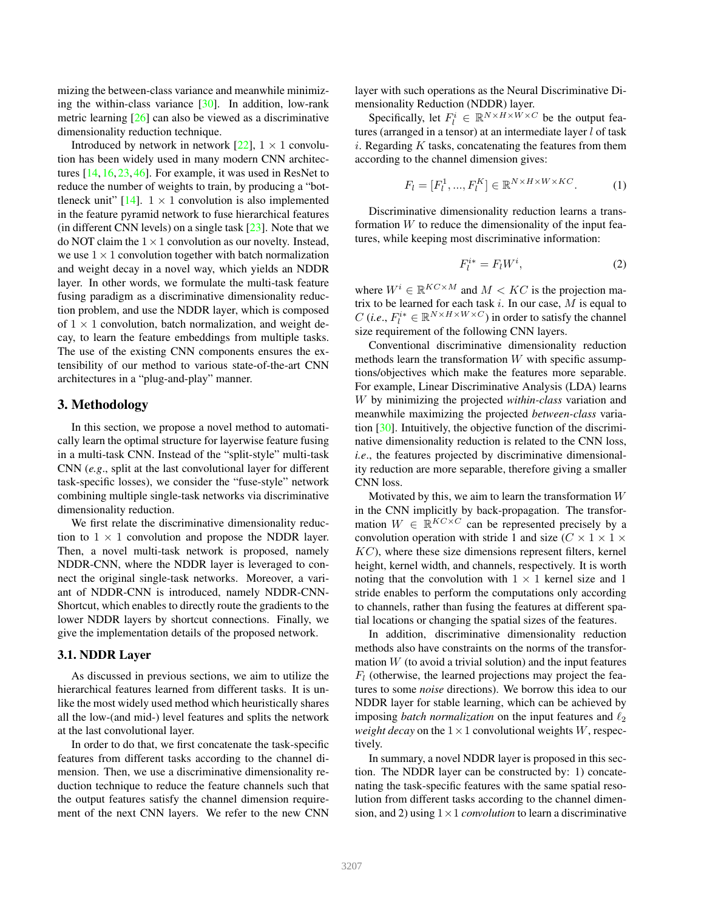mizing the between-class variance and meanwhile minimizing the within-class variance [30]. In addition, low-rank metric learning [26] can also be viewed as a discriminative dimensionality reduction technique.

Introduced by network in network [22],  $1 \times 1$  convolution has been widely used in many modern CNN architectures [14, 16, 23, 46]. For example, it was used in ResNet to reduce the number of weights to train, by producing a "bottleneck unit"  $[14]$ .  $1 \times 1$  convolution is also implemented in the feature pyramid network to fuse hierarchical features (in different CNN levels) on a single task  $[23]$ . Note that we do NOT claim the  $1 \times 1$  convolution as our novelty. Instead, we use  $1 \times 1$  convolution together with batch normalization and weight decay in a novel way, which yields an NDDR layer. In other words, we formulate the multi-task feature fusing paradigm as a discriminative dimensionality reduction problem, and use the NDDR layer, which is composed of  $1 \times 1$  convolution, batch normalization, and weight decay, to learn the feature embeddings from multiple tasks. The use of the existing CNN components ensures the extensibility of our method to various state-of-the-art CNN architectures in a "plug-and-play" manner.

### 3. Methodology

In this section, we propose a novel method to automatically learn the optimal structure for layerwise feature fusing in a multi-task CNN. Instead of the "split-style" multi-task CNN (*e.g*., split at the last convolutional layer for different task-specific losses), we consider the "fuse-style" network combining multiple single-task networks via discriminative dimensionality reduction.

We first relate the discriminative dimensionality reduction to  $1 \times 1$  convolution and propose the NDDR layer. Then, a novel multi-task network is proposed, namely NDDR-CNN, where the NDDR layer is leveraged to connect the original single-task networks. Moreover, a variant of NDDR-CNN is introduced, namely NDDR-CNN-Shortcut, which enables to directly route the gradients to the lower NDDR layers by shortcut connections. Finally, we give the implementation details of the proposed network.

#### 3.1. NDDR Layer

As discussed in previous sections, we aim to utilize the hierarchical features learned from different tasks. It is unlike the most widely used method which heuristically shares all the low-(and mid-) level features and splits the network at the last convolutional layer.

In order to do that, we first concatenate the task-specific features from different tasks according to the channel dimension. Then, we use a discriminative dimensionality reduction technique to reduce the feature channels such that the output features satisfy the channel dimension requirement of the next CNN layers. We refer to the new CNN

layer with such operations as the Neural Discriminative Dimensionality Reduction (NDDR) layer.

Specifically, let  $F_l^i \in \mathbb{R}^{N \times H \times W \times C}$  be the output features (arranged in a tensor) at an intermediate layer  $l$  of task  $i.$  Regarding  $K$  tasks, concatenating the features from them according to the channel dimension gives:

$$
F_l = [F_l^1, ..., F_l^K] \in \mathbb{R}^{N \times H \times W \times KC}.
$$
 (1)

Discriminative dimensionality reduction learns a transformation  $W$  to reduce the dimensionality of the input features, while keeping most discriminative information:

$$
F_l^{i*} = F_l W^i,\t\t(2)
$$

where  $W^i \in \mathbb{R}^{KC \times M}$  and  $M < KC$  is the projection matrix to be learned for each task  $i$ . In our case,  $M$  is equal to C (*i.e.*,  $F_l^{i*} \in \mathbb{R}^{N \times H \times W \times C}$ ) in order to satisfy the channel size requirement of the following CNN layers.

Conventional discriminative dimensionality reduction methods learn the transformation  $W$  with specific assumptions/objectives which make the features more separable. For example, Linear Discriminative Analysis (LDA) learns W by minimizing the projected *within-class* variation and meanwhile maximizing the projected *between-class* variation [30]. Intuitively, the objective function of the discriminative dimensionality reduction is related to the CNN loss, *i.e*., the features projected by discriminative dimensionality reduction are more separable, therefore giving a smaller CNN loss.

Motivated by this, we aim to learn the transformation  $W$ in the CNN implicitly by back-propagation. The transformation  $W \in \mathbb{R}^{KC \times C}$  can be represented precisely by a convolution operation with stride 1 and size ( $C \times 1 \times 1 \times$  $KC$ ), where these size dimensions represent filters, kernel height, kernel width, and channels, respectively. It is worth noting that the convolution with  $1 \times 1$  kernel size and 1 stride enables to perform the computations only according to channels, rather than fusing the features at different spatial locations or changing the spatial sizes of the features.

In addition, discriminative dimensionality reduction methods also have constraints on the norms of the transformation  $W$  (to avoid a trivial solution) and the input features  $F_l$  (otherwise, the learned projections may project the features to some *noise* directions). We borrow this idea to our NDDR layer for stable learning, which can be achieved by imposing *batch normalization* on the input features and  $\ell_2$ *weight decay* on the  $1 \times 1$  convolutional weights W, respectively.

In summary, a novel NDDR layer is proposed in this section. The NDDR layer can be constructed by: 1) concatenating the task-specific features with the same spatial resolution from different tasks according to the channel dimension, and 2) using  $1 \times 1$  *convolution* to learn a discriminative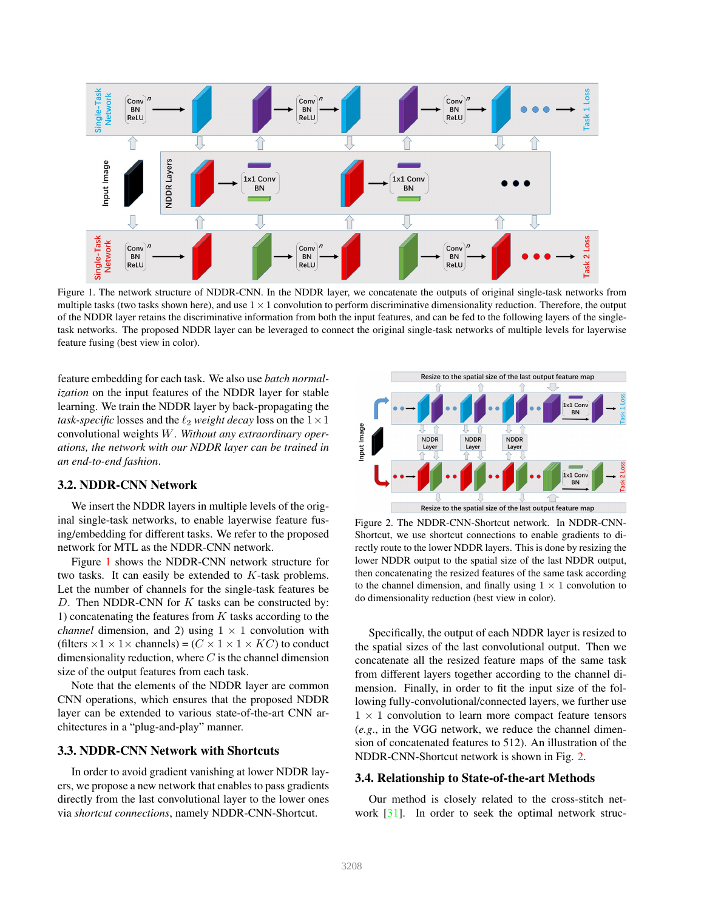

Figure 1. The network structure of NDDR-CNN. In the NDDR layer, we concatenate the outputs of original single-task networks from multiple tasks (two tasks shown here), and use  $1 \times 1$  convolution to perform discriminative dimensionality reduction. Therefore, the output of the NDDR layer retains the discriminative information from both the input features, and can be fed to the following layers of the singletask networks. The proposed NDDR layer can be leveraged to connect the original single-task networks of multiple levels for layerwise feature fusing (best view in color).

feature embedding for each task. We also use *batch normalization* on the input features of the NDDR layer for stable learning. We train the NDDR layer by back-propagating the *task-specific* losses and the  $\ell_2$  *weight decay* loss on the  $1 \times 1$ convolutional weights W. *Without any extraordinary operations, the network with our NDDR layer can be trained in an end-to-end fashion*.

## 3.2. NDDR-CNN Network

We insert the NDDR layers in multiple levels of the original single-task networks, to enable layerwise feature fusing/embedding for different tasks. We refer to the proposed network for MTL as the NDDR-CNN network.

Figure 1 shows the NDDR-CNN network structure for two tasks. It can easily be extended to K-task problems. Let the number of channels for the single-task features be D. Then NDDR-CNN for  $K$  tasks can be constructed by: 1) concatenating the features from  $K$  tasks according to the *channel* dimension, and 2) using  $1 \times 1$  convolution with (filters  $\times 1 \times 1 \times$  channels) = ( $C \times 1 \times 1 \times KC$ ) to conduct dimensionality reduction, where  $C$  is the channel dimension size of the output features from each task.

Note that the elements of the NDDR layer are common CNN operations, which ensures that the proposed NDDR layer can be extended to various state-of-the-art CNN architectures in a "plug-and-play" manner.

### 3.3. NDDR-CNN Network with Shortcuts

In order to avoid gradient vanishing at lower NDDR layers, we propose a new network that enables to pass gradients directly from the last convolutional layer to the lower ones via *shortcut connections*, namely NDDR-CNN-Shortcut.



Figure 2. The NDDR-CNN-Shortcut network. In NDDR-CNN-Shortcut, we use shortcut connections to enable gradients to directly route to the lower NDDR layers. This is done by resizing the lower NDDR output to the spatial size of the last NDDR output, then concatenating the resized features of the same task according to the channel dimension, and finally using  $1 \times 1$  convolution to do dimensionality reduction (best view in color).

Specifically, the output of each NDDR layer is resized to the spatial sizes of the last convolutional output. Then we concatenate all the resized feature maps of the same task from different layers together according to the channel dimension. Finally, in order to fit the input size of the following fully-convolutional/connected layers, we further use  $1 \times 1$  convolution to learn more compact feature tensors (*e.g*., in the VGG network, we reduce the channel dimension of concatenated features to 512). An illustration of the NDDR-CNN-Shortcut network is shown in Fig. 2.

#### 3.4. Relationship to State-of-the-art Methods

Our method is closely related to the cross-stitch network [31]. In order to seek the optimal network struc-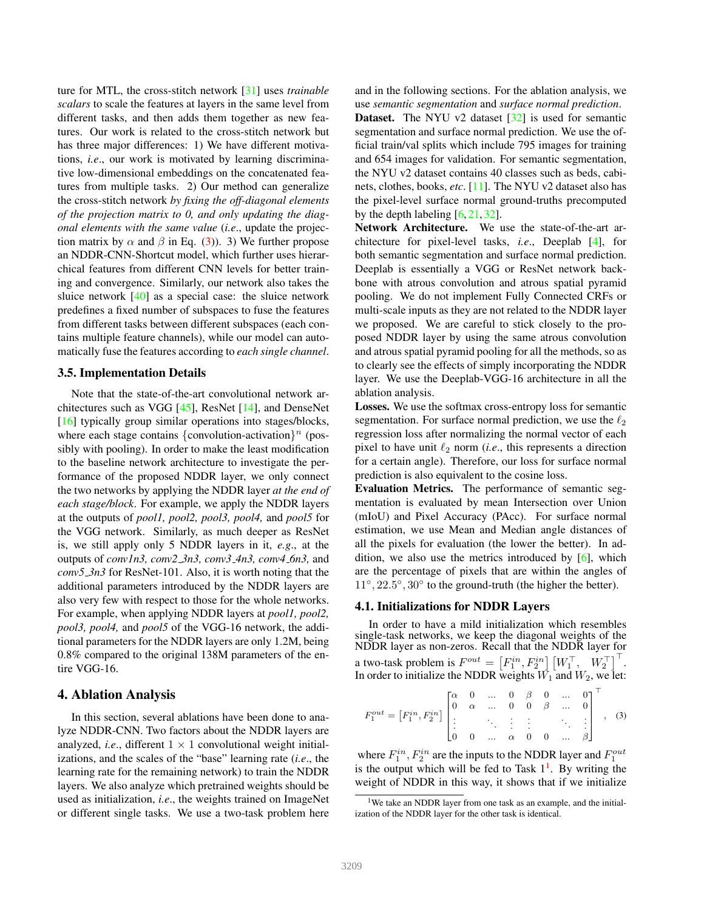ture for MTL, the cross-stitch network [31] uses *trainable scalars* to scale the features at layers in the same level from different tasks, and then adds them together as new features. Our work is related to the cross-stitch network but has three major differences: 1) We have different motivations, *i.e*., our work is motivated by learning discriminative low-dimensional embeddings on the concatenated features from multiple tasks. 2) Our method can generalize the cross-stitch network *by fixing the off-diagonal elements of the projection matrix to 0, and only updating the diagonal elements with the same value* (*i.e*., update the projection matrix by  $\alpha$  and  $\beta$  in Eq. (3)). 3) We further propose an NDDR-CNN-Shortcut model, which further uses hierarchical features from different CNN levels for better training and convergence. Similarly, our network also takes the sluice network  $[40]$  as a special case: the sluice network predefines a fixed number of subspaces to fuse the features from different tasks between different subspaces (each contains multiple feature channels), while our model can automatically fuse the features according to *each single channel*.

#### 3.5. Implementation Details

Note that the state-of-the-art convolutional network architectures such as VGG [45], ResNet [14], and DenseNet [16] typically group similar operations into stages/blocks, where each stage contains {convolution-activation}<sup>n</sup> (possibly with pooling). In order to make the least modification to the baseline network architecture to investigate the performance of the proposed NDDR layer, we only connect the two networks by applying the NDDR layer *at the end of each stage/block*. For example, we apply the NDDR layers at the outputs of *pool1, pool2, pool3, pool4,* and *pool5* for the VGG network. Similarly, as much deeper as ResNet is, we still apply only 5 NDDR layers in it, *e.g*., at the outputs of *conv1n3, conv2 3n3, conv3 4n3, conv4 6n3,* and *conv5 3n3* for ResNet-101. Also, it is worth noting that the additional parameters introduced by the NDDR layers are also very few with respect to those for the whole networks. For example, when applying NDDR layers at *pool1, pool2, pool3, pool4,* and *pool5* of the VGG-16 network, the additional parameters for the NDDR layers are only 1.2M, being 0.8% compared to the original 138M parameters of the entire VGG-16.

### 4. Ablation Analysis

In this section, several ablations have been done to analyze NDDR-CNN. Two factors about the NDDR layers are analyzed, *i.e.*, different  $1 \times 1$  convolutional weight initializations, and the scales of the "base" learning rate (*i.e*., the learning rate for the remaining network) to train the NDDR layers. We also analyze which pretrained weights should be used as initialization, *i.e*., the weights trained on ImageNet or different single tasks. We use a two-task problem here and in the following sections. For the ablation analysis, we use *semantic segmentation* and *surface normal prediction*.

**Dataset.** The NYU v2 dataset  $\lceil 32 \rceil$  is used for semantic segmentation and surface normal prediction. We use the official train/val splits which include 795 images for training and 654 images for validation. For semantic segmentation, the NYU v2 dataset contains 40 classes such as beds, cabinets, clothes, books, *etc*. [11]. The NYU v2 dataset also has the pixel-level surface normal ground-truths precomputed by the depth labeling  $[6, 21, 32]$ .

Network Architecture. We use the state-of-the-art architecture for pixel-level tasks, *i.e*., Deeplab [4], for both semantic segmentation and surface normal prediction. Deeplab is essentially a VGG or ResNet network backbone with atrous convolution and atrous spatial pyramid pooling. We do not implement Fully Connected CRFs or multi-scale inputs as they are not related to the NDDR layer we proposed. We are careful to stick closely to the proposed NDDR layer by using the same atrous convolution and atrous spatial pyramid pooling for all the methods, so as to clearly see the effects of simply incorporating the NDDR layer. We use the Deeplab-VGG-16 architecture in all the ablation analysis.

Losses. We use the softmax cross-entropy loss for semantic segmentation. For surface normal prediction, we use the  $\ell_2$ regression loss after normalizing the normal vector of each pixel to have unit  $\ell_2$  norm (*i.e.*, this represents a direction for a certain angle). Therefore, our loss for surface normal prediction is also equivalent to the cosine loss.

Evaluation Metrics. The performance of semantic segmentation is evaluated by mean Intersection over Union (mIoU) and Pixel Accuracy (PAcc). For surface normal estimation, we use Mean and Median angle distances of all the pixels for evaluation (the lower the better). In addition, we also use the metrics introduced by [6], which are the percentage of pixels that are within the angles of 11°, 22.5°, 30° to the ground-truth (the higher the better).

# 4.1. Initializations for NDDR Layers

In order to have a mild initialization which resembles single-task networks, we keep the diagonal weights of the NDDR layer as non-zeros. Recall that the NDDR layer for a two-task problem is  $F^{out} = \left[F_1^{in}, F_2^{in} \right] \left[W_1^\top, W_2^\top \right]^\top$ . In order to initialize the NDDR weights  $\vec{W}_1$  and  $W_2$ , we let:

$$
F_1^{out} = \begin{bmatrix} F_1^{in}, F_2^{in} \end{bmatrix} \begin{bmatrix} \alpha & 0 & \dots & 0 & \beta & 0 & \dots & 0 \\ 0 & \alpha & \dots & 0 & 0 & \beta & \dots & 0 \\ \vdots & & & \vdots & \vdots & & \ddots & \vdots \\ 0 & 0 & \dots & \alpha & 0 & 0 & \dots & \beta \end{bmatrix}^{\top}, \quad (3)
$$

where  $F_1^{in}$ ,  $F_2^{in}$  are the inputs to the NDDR layer and  $F_1^{out}$ is the output which will be fed to Task  $1<sup>1</sup>$ . By writing the weight of NDDR in this way, it shows that if we initialize

<sup>&</sup>lt;sup>1</sup>We take an NDDR layer from one task as an example, and the initialization of the NDDR layer for the other task is identical.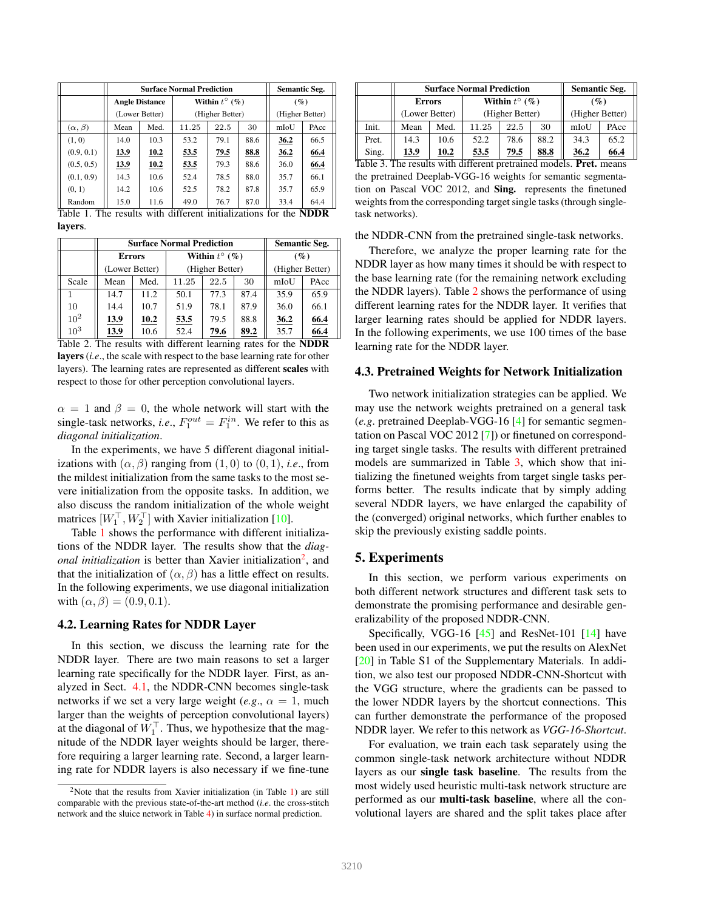|      | <b>Semantic Seg.</b> |                                         |      |                                  |                        |                                                         |
|------|----------------------|-----------------------------------------|------|----------------------------------|------------------------|---------------------------------------------------------|
|      |                      |                                         |      | $(\%)$                           |                        |                                                         |
|      |                      | (Higher Better)                         |      |                                  | (Higher Better)        |                                                         |
| Mean | Med.                 | 11.25                                   | 22.5 | 30                               | mIoU                   | PAcc                                                    |
| 14.0 | 10.3                 | 53.2                                    | 79.1 | 88.6                             | 36.2                   | 66.5                                                    |
| 13.9 | 10.2                 | 53.5                                    | 79.5 | 88.8                             | 36.2                   | 66.4                                                    |
| 13.9 | 10.2                 | 53.5                                    | 79.3 | 88.6                             | 36.0                   | 66.4                                                    |
| 14.3 | 10.6                 | 52.4                                    | 78.5 | 88.0                             | 35.7                   | 66.1                                                    |
| 14.2 | 10.6                 | 52.5                                    | 78.2 | 87.8                             | 35.7                   | 65.9                                                    |
| 15.0 | 11.6                 | 49.0                                    | 76.7 | 87.0                             | 33.4                   | 64.4                                                    |
|      |                      | <b>Angle Distance</b><br>(Lower Better) |      | <b>Surface Normal Prediction</b> | Within $t^{\circ}$ (%) | The geoults with different initializations for the NDDD |

Table 1. The results with different initializations for the NDDR layers.

|                 |                | <b>Surface Normal Prediction</b> | <b>Semantic Seg.</b> |                        |      |                 |        |  |
|-----------------|----------------|----------------------------------|----------------------|------------------------|------|-----------------|--------|--|
|                 |                | <b>Errors</b>                    |                      | Within $t^{\circ}$ (%) |      |                 | $($ %) |  |
|                 | (Lower Better) |                                  |                      | (Higher Better)        |      | (Higher Better) |        |  |
| Scale           | Mean           | Med.                             | 11.25                | 22.5                   | 30   | mIoU            | PAcc   |  |
|                 | 14.7           | 11.2                             | 50.1                 | 77.3                   | 87.4 | 35.9            | 65.9   |  |
| 10              | 14.4           | 10.7                             | 51.9                 | 78.1                   | 87.9 | 36.0            | 66.1   |  |
| 10 <sup>2</sup> | 13.9           | 10.2                             | 53.5                 | 79.5                   | 88.8 | 36.2            | 66.4   |  |
| $10^3$          | 13.9           | 10.6                             | 52.4                 | 79.6                   | 89.2 | 35.7            | 66.4   |  |

Table 2. The results with different learning rates for the NDDR layers (*i.e*., the scale with respect to the base learning rate for other layers). The learning rates are represented as different scales with respect to those for other perception convolutional layers.

 $\alpha = 1$  and  $\beta = 0$ , the whole network will start with the single-task networks, *i.e.*,  $F_1^{out} = F_1^{in}$ . We refer to this as *diagonal initialization*.

In the experiments, we have 5 different diagonal initializations with  $(\alpha, \beta)$  ranging from  $(1, 0)$  to  $(0, 1)$ , *i.e.*, from the mildest initialization from the same tasks to the most severe initialization from the opposite tasks. In addition, we also discuss the random initialization of the whole weight matrices  $[W_1^\top, W_2^\top]$  with Xavier initialization [10].

Table 1 shows the performance with different initializations of the NDDR layer. The results show that the *diagonal initialization* is better than Xavier initialization<sup>2</sup>, and that the initialization of  $(\alpha, \beta)$  has a little effect on results. In the following experiments, we use diagonal initialization with  $(\alpha, \beta) = (0.9, 0.1)$ .

# 4.2. Learning Rates for NDDR Layer

In this section, we discuss the learning rate for the NDDR layer. There are two main reasons to set a larger learning rate specifically for the NDDR layer. First, as analyzed in Sect. 4.1, the NDDR-CNN becomes single-task networks if we set a very large weight (*e.g.*,  $\alpha = 1$ , much larger than the weights of perception convolutional layers) at the diagonal of  $W_1^{\top}$ . Thus, we hypothesize that the magnitude of the NDDR layer weights should be larger, therefore requiring a larger learning rate. Second, a larger learning rate for NDDR layers is also necessary if we fine-tune

|                  |                                                    | <b>Surface Normal Prediction</b> | <b>Semantic Seg.</b>   |                 |      |                 |        |
|------------------|----------------------------------------------------|----------------------------------|------------------------|-----------------|------|-----------------|--------|
|                  | <b>Errors</b>                                      |                                  | Within $t^{\circ}$ (%) |                 |      | (%)             |        |
|                  |                                                    | (Lower Better)                   |                        | (Higher Better) |      | (Higher Better) |        |
| Init.            | Mean                                               | Med.                             | 11.25                  | 22.5            | 30   | mIoU            | PAcc   |
| Pret.            | 14.3                                               | 10.6                             | 52.2                   | 78.6            | 88.2 | 34.3            | 65.2   |
| Sing.            | 13.9                                               | 10.2                             | 53.5                   | 79.5            | 88.8 | 36.2            | 66.4   |
| $\text{Table 2}$ | The results with different protrained models. Duet |                                  |                        |                 |      |                 | maxana |

Table 3. The results with different pretrained models. Pret. means the pretrained Deeplab-VGG-16 weights for semantic segmentation on Pascal VOC 2012, and Sing. represents the finetuned weights from the corresponding target single tasks (through singletask networks).

the NDDR-CNN from the pretrained single-task networks.

Therefore, we analyze the proper learning rate for the NDDR layer as how many times it should be with respect to the base learning rate (for the remaining network excluding the NDDR layers). Table 2 shows the performance of using different learning rates for the NDDR layer. It verifies that larger learning rates should be applied for NDDR layers. In the following experiments, we use 100 times of the base learning rate for the NDDR layer.

#### 4.3. Pretrained Weights for Network Initialization

Two network initialization strategies can be applied. We may use the network weights pretrained on a general task (*e.g*. pretrained Deeplab-VGG-16 [4] for semantic segmentation on Pascal VOC 2012 [7]) or finetuned on corresponding target single tasks. The results with different pretrained models are summarized in Table 3, which show that initializing the finetuned weights from target single tasks performs better. The results indicate that by simply adding several NDDR layers, we have enlarged the capability of the (converged) original networks, which further enables to skip the previously existing saddle points.

### 5. Experiments

In this section, we perform various experiments on both different network structures and different task sets to demonstrate the promising performance and desirable generalizability of the proposed NDDR-CNN.

Specifically, VGG-16 [45] and ResNet-101 [14] have been used in our experiments, we put the results on AlexNet [20] in Table S1 of the Supplementary Materials. In addition, we also test our proposed NDDR-CNN-Shortcut with the VGG structure, where the gradients can be passed to the lower NDDR layers by the shortcut connections. This can further demonstrate the performance of the proposed NDDR layer. We refer to this network as *VGG-16-Shortcut*.

For evaluation, we train each task separately using the common single-task network architecture without NDDR layers as our single task baseline. The results from the most widely used heuristic multi-task network structure are performed as our multi-task baseline, where all the convolutional layers are shared and the split takes place after

<sup>&</sup>lt;sup>2</sup>Note that the results from Xavier initialization (in Table 1) are still comparable with the previous state-of-the-art method (*i.e*. the cross-stitch network and the sluice network in Table 4) in surface normal prediction.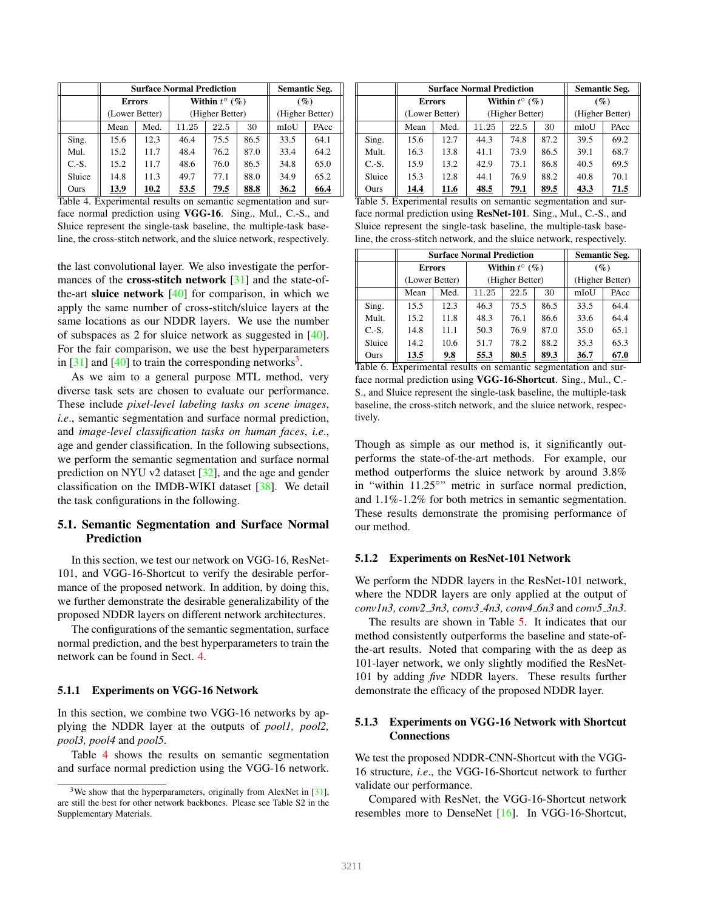|         |                | <b>Surface Normal Prediction</b> | <b>Semantic Seg.</b> |                        |      |                 |        |  |
|---------|----------------|----------------------------------|----------------------|------------------------|------|-----------------|--------|--|
|         | <b>Errors</b>  |                                  |                      | Within $t^{\circ}$ (%) |      |                 | $(\%)$ |  |
|         | (Lower Better) |                                  | (Higher Better)      |                        |      | (Higher Better) |        |  |
|         | Mean           | Med.                             | 11.25                | 22.5                   | 30   | mIoU            | PAcc   |  |
| Sing.   | 15.6           | 12.3                             | 46.4                 | 75.5                   | 86.5 | 33.5            | 64.1   |  |
| Mul.    | 15.2           | 11.7                             | 48.4                 | 76.2                   | 87.0 | 33.4            | 64.2   |  |
| $C.-S.$ | 15.2           | 11.7                             | 48.6                 | 76.0                   | 86.5 | 34.8            | 65.0   |  |
| Sluice  | 14.8           | 11.3                             | 49.7                 | 77.1                   | 88.0 | 34.9            | 65.2   |  |
| Ours    | 13.9           | 10.2                             | 53.5                 | 79.5                   | 88.8 | 36.2            | 66.4   |  |

Table 4. Experimental results on semantic segmentation and surface normal prediction using VGG-16. Sing., Mul., C.-S., and Sluice represent the single-task baseline, the multiple-task baseline, the cross-stitch network, and the sluice network, respectively.

the last convolutional layer. We also investigate the performances of the **cross-stitch network**  $\lceil 31 \rceil$  and the state-ofthe-art **sluice network**  $[40]$  for comparison, in which we apply the same number of cross-stitch/sluice layers at the same locations as our NDDR layers. We use the number of subspaces as 2 for sluice network as suggested in [40]. For the fair comparison, we use the best hyperparameters in  $[31]$  and  $[40]$  to train the corresponding networks<sup>3</sup>.

As we aim to a general purpose MTL method, very diverse task sets are chosen to evaluate our performance. These include *pixel-level labeling tasks on scene images*, *i.e*., semantic segmentation and surface normal prediction, and *image-level classification tasks on human faces*, *i.e*., age and gender classification. In the following subsections, we perform the semantic segmentation and surface normal prediction on NYU v2 dataset [32], and the age and gender classification on the IMDB-WIKI dataset [38]. We detail the task configurations in the following.

# 5.1. Semantic Segmentation and Surface Normal Prediction

In this section, we test our network on VGG-16, ResNet-101, and VGG-16-Shortcut to verify the desirable performance of the proposed network. In addition, by doing this, we further demonstrate the desirable generalizability of the proposed NDDR layers on different network architectures.

The configurations of the semantic segmentation, surface normal prediction, and the best hyperparameters to train the network can be found in Sect. 4.

#### 5.1.1 Experiments on VGG-16 Network

In this section, we combine two VGG-16 networks by applying the NDDR layer at the outputs of *pool1, pool2, pool3, pool4* and *pool5*.

Table 4 shows the results on semantic segmentation and surface normal prediction using the VGG-16 network.

|         |                | <b>Surface Normal Prediction</b> | <b>Semantic Seg.</b> |                        |      |                 |        |
|---------|----------------|----------------------------------|----------------------|------------------------|------|-----------------|--------|
|         | <b>Errors</b>  |                                  |                      | Within $t^{\circ}$ (%) |      |                 | $(\%)$ |
|         | (Lower Better) |                                  | (Higher Better)      |                        |      | (Higher Better) |        |
|         | Mean           | Med.                             | 11.25                | 22.5                   | 30   | mIoU            | PAcc   |
| Sing.   | 15.6           | 12.7                             | 44.3                 | 74.8                   | 87.2 | 39.5            | 69.2   |
| Mult.   | 16.3           | 13.8                             | 41.1                 | 73.9                   | 86.5 | 39.1            | 68.7   |
| $C.-S.$ | 15.9           | 13.2                             | 42.9                 | 75.1                   | 86.8 | 40.5            | 69.5   |
| Sluice  | 15.3           | 12.8                             | 44.1                 | 76.9                   | 88.2 | 40.8            | 70.1   |
| Ours    | 14.4           | 11.6                             | 48.5                 | 79.1                   | 89.5 | 43.3            | 71.5   |

Table 5. Experimental results on semantic segmentation and surface normal prediction using ResNet-101. Sing., Mul., C.-S., and Sluice represent the single-task baseline, the multiple-task baseline, the cross-stitch network, and the sluice network, respectively.

|         |                | <b>Surface Normal Prediction</b> | <b>Semantic Seg.</b>   |      |                 |        |      |  |
|---------|----------------|----------------------------------|------------------------|------|-----------------|--------|------|--|
|         | <b>Errors</b>  |                                  | Within $t^{\circ}$ (%) |      |                 | $(\%)$ |      |  |
|         | (Lower Better) |                                  | (Higher Better)        |      | (Higher Better) |        |      |  |
|         | Mean           | Med.                             | 11.25                  | 22.5 | 30              | mIoU   | PAcc |  |
| Sing.   | 15.5           | 12.3                             | 46.3                   | 75.5 | 86.5            | 33.5   | 64.4 |  |
| Mult.   | 15.2           | 11.8                             | 48.3                   | 76.1 | 86.6            | 33.6   | 64.4 |  |
| $C.-S.$ | 14.8           | 11.1                             | 50.3                   | 76.9 | 87.0            | 35.0   | 65.1 |  |
| Sluice  | 14.2           | 10.6                             | 51.7                   | 78.2 | 88.2            | 35.3   | 65.3 |  |
| Ours    | 13.5           | 9.8                              | 55.3                   | 80.5 | 89.3            | 36.7   | 67.0 |  |

Table 6. Experimental results on semantic segmentation and surface normal prediction using VGG-16-Shortcut. Sing., Mul., C.- S., and Sluice represent the single-task baseline, the multiple-task baseline, the cross-stitch network, and the sluice network, respectively.

Though as simple as our method is, it significantly outperforms the state-of-the-art methods. For example, our method outperforms the sluice network by around 3.8% in "within 11.25°" metric in surface normal prediction, and 1.1%-1.2% for both metrics in semantic segmentation. These results demonstrate the promising performance of our method.

#### 5.1.2 Experiments on ResNet-101 Network

We perform the NDDR layers in the ResNet-101 network, where the NDDR layers are only applied at the output of *conv1n3, conv2 3n3, conv3 4n3, conv4 6n3* and *conv5 3n3*.

The results are shown in Table 5. It indicates that our method consistently outperforms the baseline and state-ofthe-art results. Noted that comparing with the as deep as 101-layer network, we only slightly modified the ResNet-101 by adding *five* NDDR layers. These results further demonstrate the efficacy of the proposed NDDR layer.

# 5.1.3 Experiments on VGG-16 Network with Shortcut Connections

We test the proposed NDDR-CNN-Shortcut with the VGG-16 structure, *i.e*., the VGG-16-Shortcut network to further validate our performance.

Compared with ResNet, the VGG-16-Shortcut network resembles more to DenseNet [16]. In VGG-16-Shortcut,

<sup>&</sup>lt;sup>3</sup>We show that the hyperparameters, originally from AlexNet in  $[31]$ , are still the best for other network backbones. Please see Table S2 in the Supplementary Materials.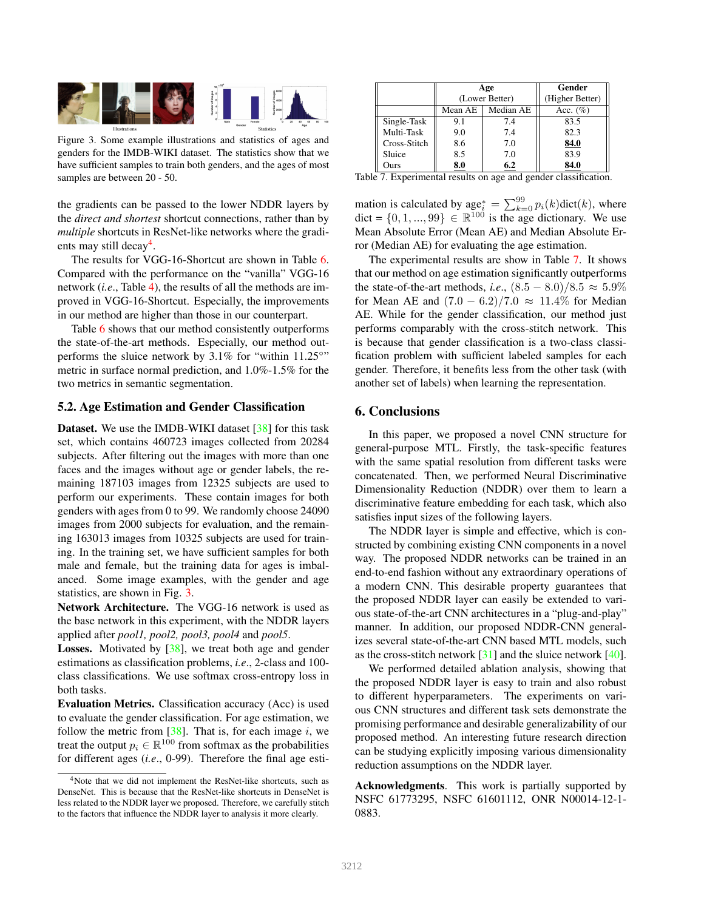

Figure 3. Some example illustrations and statistics of ages and genders for the IMDB-WIKI dataset. The statistics show that we have sufficient samples to train both genders, and the ages of most samples are between 20 - 50.

the gradients can be passed to the lower NDDR layers by the *direct and shortest* shortcut connections, rather than by *multiple* shortcuts in ResNet-like networks where the gradients may still decay<sup>4</sup>.

The results for VGG-16-Shortcut are shown in Table 6. Compared with the performance on the "vanilla" VGG-16 network (*i.e*., Table 4), the results of all the methods are improved in VGG-16-Shortcut. Especially, the improvements in our method are higher than those in our counterpart.

Table 6 shows that our method consistently outperforms the state-of-the-art methods. Especially, our method outperforms the sluice network by  $3.1\%$  for "within 11.25°" metric in surface normal prediction, and 1.0%-1.5% for the two metrics in semantic segmentation.

#### 5.2. Age Estimation and Gender Classification

Dataset. We use the IMDB-WIKI dataset [38] for this task set, which contains 460723 images collected from 20284 subjects. After filtering out the images with more than one faces and the images without age or gender labels, the remaining 187103 images from 12325 subjects are used to perform our experiments. These contain images for both genders with ages from 0 to 99. We randomly choose 24090 images from 2000 subjects for evaluation, and the remaining 163013 images from 10325 subjects are used for training. In the training set, we have sufficient samples for both male and female, but the training data for ages is imbalanced. Some image examples, with the gender and age statistics, are shown in Fig. 3.

Network Architecture. The VGG-16 network is used as the base network in this experiment, with the NDDR layers applied after *pool1, pool2, pool3, pool4* and *pool5*.

**Losses.** Motivated by  $[38]$ , we treat both age and gender estimations as classification problems, *i.e*., 2-class and 100 class classifications. We use softmax cross-entropy loss in both tasks.

Evaluation Metrics. Classification accuracy (Acc) is used to evaluate the gender classification. For age estimation, we follow the metric from  $[38]$ . That is, for each image i, we treat the output  $p_i \in \mathbb{R}^{100}$  from softmax as the probabilities for different ages (*i.e*., 0-99). Therefore the final age esti-

|              |         | Age            | Gender          |
|--------------|---------|----------------|-----------------|
|              |         | (Lower Better) | (Higher Better) |
|              | Mean AE | Acc. $(\% )$   |                 |
| Single-Task  | 9.1     | 7.4            | 83.5            |
| Multi-Task   | 9.0     | 7.4            | 82.3            |
| Cross-Stitch | 8.6     | 7.0            | 84.0            |
| Sluice       | 8.5     | 7.0            | 83.9            |
| Ours         | 8.0     | 6.2            | 84.0            |

Table 7. Experimental results on age and gender classification.

mation is calculated by  $\mathrm{age}_i^* = \sum_{k=0}^{99} p_i(k) \mathrm{dict}(k)$ , where dict =  $\{0, 1, ..., 99\} \in \mathbb{R}^{100}$  is the age dictionary. We use Mean Absolute Error (Mean AE) and Median Absolute Error (Median AE) for evaluating the age estimation.

The experimental results are show in Table 7. It shows that our method on age estimation significantly outperforms the state-of-the-art methods, *i.e.*,  $(8.5 - 8.0)/8.5 \approx 5.9\%$ for Mean AE and  $(7.0 - 6.2)/7.0 \approx 11.4\%$  for Median AE. While for the gender classification, our method just performs comparably with the cross-stitch network. This is because that gender classification is a two-class classification problem with sufficient labeled samples for each gender. Therefore, it benefits less from the other task (with another set of labels) when learning the representation.

#### 6. Conclusions

In this paper, we proposed a novel CNN structure for general-purpose MTL. Firstly, the task-specific features with the same spatial resolution from different tasks were concatenated. Then, we performed Neural Discriminative Dimensionality Reduction (NDDR) over them to learn a discriminative feature embedding for each task, which also satisfies input sizes of the following layers.

The NDDR layer is simple and effective, which is constructed by combining existing CNN components in a novel way. The proposed NDDR networks can be trained in an end-to-end fashion without any extraordinary operations of a modern CNN. This desirable property guarantees that the proposed NDDR layer can easily be extended to various state-of-the-art CNN architectures in a "plug-and-play" manner. In addition, our proposed NDDR-CNN generalizes several state-of-the-art CNN based MTL models, such as the cross-stitch network  $[31]$  and the sluice network  $[40]$ .

We performed detailed ablation analysis, showing that the proposed NDDR layer is easy to train and also robust to different hyperparameters. The experiments on various CNN structures and different task sets demonstrate the promising performance and desirable generalizability of our proposed method. An interesting future research direction can be studying explicitly imposing various dimensionality reduction assumptions on the NDDR layer.

Acknowledgments. This work is partially supported by NSFC 61773295, NSFC 61601112, ONR N00014-12-1- 0883.

<sup>4</sup>Note that we did not implement the ResNet-like shortcuts, such as DenseNet. This is because that the ResNet-like shortcuts in DenseNet is less related to the NDDR layer we proposed. Therefore, we carefully stitch to the factors that influence the NDDR layer to analysis it more clearly.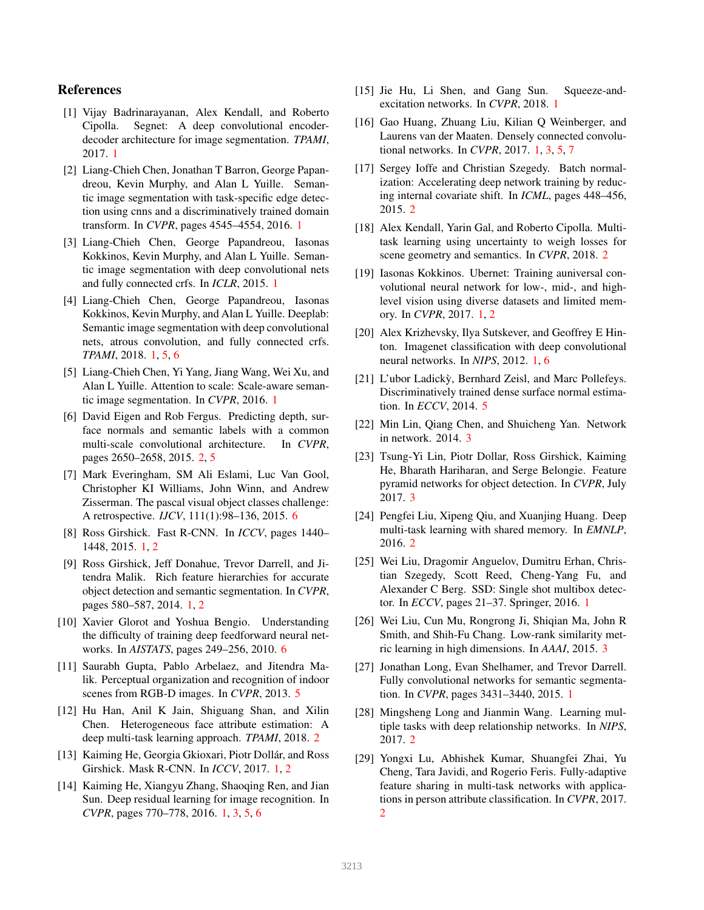# References

- [1] Vijay Badrinarayanan, Alex Kendall, and Roberto Cipolla. Segnet: A deep convolutional encoderdecoder architecture for image segmentation. *TPAMI*, 2017. 1
- [2] Liang-Chieh Chen, Jonathan T Barron, George Papandreou, Kevin Murphy, and Alan L Yuille. Semantic image segmentation with task-specific edge detection using cnns and a discriminatively trained domain transform. In *CVPR*, pages 4545–4554, 2016. 1
- [3] Liang-Chieh Chen, George Papandreou, Iasonas Kokkinos, Kevin Murphy, and Alan L Yuille. Semantic image segmentation with deep convolutional nets and fully connected crfs. In *ICLR*, 2015. 1
- [4] Liang-Chieh Chen, George Papandreou, Iasonas Kokkinos, Kevin Murphy, and Alan L Yuille. Deeplab: Semantic image segmentation with deep convolutional nets, atrous convolution, and fully connected crfs. *TPAMI*, 2018. 1, 5, 6
- [5] Liang-Chieh Chen, Yi Yang, Jiang Wang, Wei Xu, and Alan L Yuille. Attention to scale: Scale-aware semantic image segmentation. In *CVPR*, 2016. 1
- [6] David Eigen and Rob Fergus. Predicting depth, surface normals and semantic labels with a common multi-scale convolutional architecture. In *CVPR*, pages 2650–2658, 2015. 2, 5
- [7] Mark Everingham, SM Ali Eslami, Luc Van Gool, Christopher KI Williams, John Winn, and Andrew Zisserman. The pascal visual object classes challenge: A retrospective. *IJCV*, 111(1):98–136, 2015. 6
- [8] Ross Girshick. Fast R-CNN. In *ICCV*, pages 1440– 1448, 2015. 1, 2
- [9] Ross Girshick, Jeff Donahue, Trevor Darrell, and Jitendra Malik. Rich feature hierarchies for accurate object detection and semantic segmentation. In *CVPR*, pages 580–587, 2014. 1, 2
- [10] Xavier Glorot and Yoshua Bengio. Understanding the difficulty of training deep feedforward neural networks. In *AISTATS*, pages 249–256, 2010. 6
- [11] Saurabh Gupta, Pablo Arbelaez, and Jitendra Malik. Perceptual organization and recognition of indoor scenes from RGB-D images. In *CVPR*, 2013. 5
- [12] Hu Han, Anil K Jain, Shiguang Shan, and Xilin Chen. Heterogeneous face attribute estimation: A deep multi-task learning approach. *TPAMI*, 2018. 2
- [13] Kaiming He, Georgia Gkioxari, Piotr Dollár, and Ross Girshick. Mask R-CNN. In *ICCV*, 2017. 1, 2
- [14] Kaiming He, Xiangyu Zhang, Shaoqing Ren, and Jian Sun. Deep residual learning for image recognition. In *CVPR*, pages 770–778, 2016. 1, 3, 5, 6
- [15] Jie Hu, Li Shen, and Gang Sun. Squeeze-andexcitation networks. In *CVPR*, 2018. 1
- [16] Gao Huang, Zhuang Liu, Kilian Q Weinberger, and Laurens van der Maaten. Densely connected convolutional networks. In *CVPR*, 2017. 1, 3, 5, 7
- [17] Sergey Ioffe and Christian Szegedy. Batch normalization: Accelerating deep network training by reducing internal covariate shift. In *ICML*, pages 448–456, 2015. 2
- [18] Alex Kendall, Yarin Gal, and Roberto Cipolla. Multitask learning using uncertainty to weigh losses for scene geometry and semantics. In *CVPR*, 2018. 2
- [19] Iasonas Kokkinos. Ubernet: Training auniversal convolutional neural network for low-, mid-, and highlevel vision using diverse datasets and limited memory. In *CVPR*, 2017. 1, 2
- [20] Alex Krizhevsky, Ilya Sutskever, and Geoffrey E Hinton. Imagenet classification with deep convolutional neural networks. In *NIPS*, 2012. 1, 6
- [21] L'ubor Ladickỳ, Bernhard Zeisl, and Marc Pollefeys. Discriminatively trained dense surface normal estimation. In *ECCV*, 2014. 5
- [22] Min Lin, Qiang Chen, and Shuicheng Yan. Network in network. 2014. 3
- [23] Tsung-Yi Lin, Piotr Dollar, Ross Girshick, Kaiming He, Bharath Hariharan, and Serge Belongie. Feature pyramid networks for object detection. In *CVPR*, July 2017. 3
- [24] Pengfei Liu, Xipeng Qiu, and Xuanjing Huang. Deep multi-task learning with shared memory. In *EMNLP*, 2016. 2
- [25] Wei Liu, Dragomir Anguelov, Dumitru Erhan, Christian Szegedy, Scott Reed, Cheng-Yang Fu, and Alexander C Berg. SSD: Single shot multibox detector. In *ECCV*, pages 21–37. Springer, 2016. 1
- [26] Wei Liu, Cun Mu, Rongrong Ji, Shiqian Ma, John R Smith, and Shih-Fu Chang. Low-rank similarity metric learning in high dimensions. In *AAAI*, 2015. 3
- [27] Jonathan Long, Evan Shelhamer, and Trevor Darrell. Fully convolutional networks for semantic segmentation. In *CVPR*, pages 3431–3440, 2015. 1
- [28] Mingsheng Long and Jianmin Wang. Learning multiple tasks with deep relationship networks. In *NIPS*, 2017. 2
- [29] Yongxi Lu, Abhishek Kumar, Shuangfei Zhai, Yu Cheng, Tara Javidi, and Rogerio Feris. Fully-adaptive feature sharing in multi-task networks with applications in person attribute classification. In *CVPR*, 2017. 2